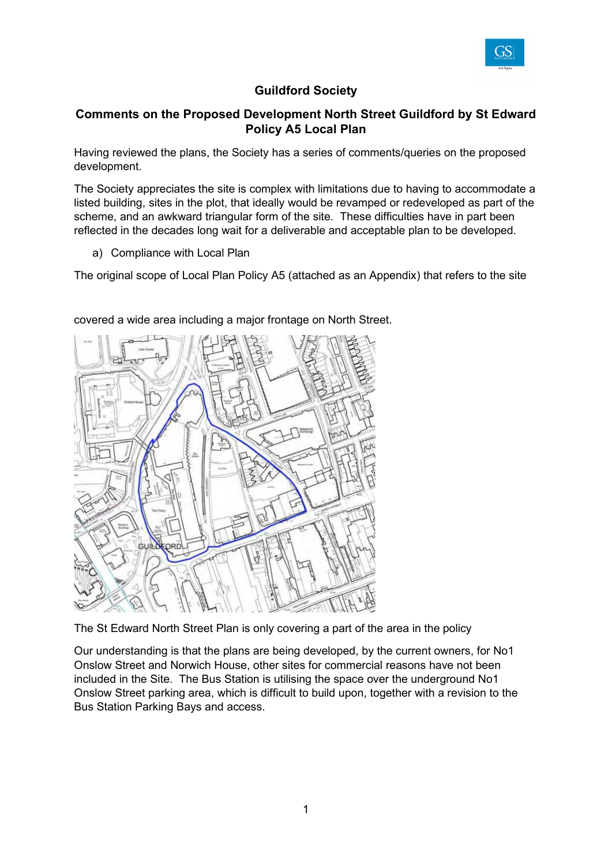

## **Guildford Society**

## **Comments on the Proposed Development North Street Guildford by St Edward Policy A5 Local Plan**

Having reviewed the plans, the Society has a series of comments/queries on the proposed development.

The Society appreciates the site is complex with limitations due to having to accommodate a listed building, sites in the plot, that ideally would be revamped or redeveloped as part of the scheme, and an awkward triangular form of the site. These difficulties have in part been reflected in the decades long wait for a deliverable and acceptable plan to be developed.

a) Compliance with Local Plan

The original scope of Local Plan Policy A5 (attached as an Appendix) that refers to the site



covered a wide area including a major frontage on North Street.

The St Edward North Street Plan is only covering a part of the area in the policy

Our understanding is that the plans are being developed, by the current owners, for No1 Onslow Street and Norwich House, other sites for commercial reasons have not been included in the Site. The Bus Station is utilising the space over the underground No1 Onslow Street parking area, which is difficult to build upon, together with a revision to the Bus Station Parking Bays and access.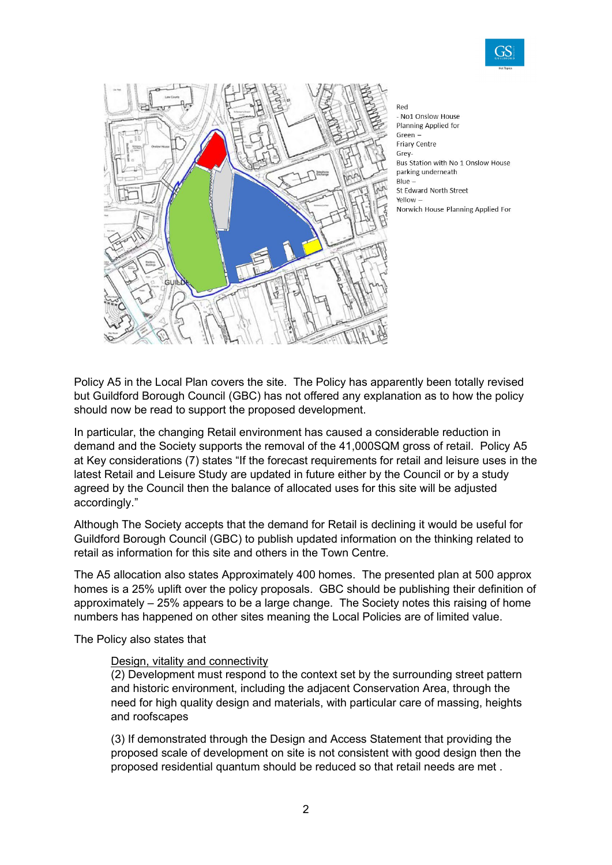



Red - No1 Onslow House Planning Applied for Green **Friary Centre** Grey-Bus Station with No 1 Onslow House parking underneath Blue St Edward North Street Yellow -Norwich House Planning Applied For

Policy A5 in the Local Plan covers the site. The Policy has apparently been totally revised but Guildford Borough Council (GBC) has not offered any explanation as to how the policy should now be read to support the proposed development.

In particular, the changing Retail environment has caused a considerable reduction in demand and the Society supports the removal of the 41,000SQM gross of retail. Policy A5 at Key considerations (7) states "If the forecast requirements for retail and leisure uses in the latest Retail and Leisure Study are updated in future either by the Council or by a study agreed by the Council then the balance of allocated uses for this site will be adjusted accordingly."

Although The Society accepts that the demand for Retail is declining it would be useful for Guildford Borough Council (GBC) to publish updated information on the thinking related to retail as information for this site and others in the Town Centre.

The A5 allocation also states Approximately 400 homes. The presented plan at 500 approx homes is a 25% uplift over the policy proposals. GBC should be publishing their definition of approximately – 25% appears to be a large change. The Society notes this raising of home numbers has happened on other sites meaning the Local Policies are of limited value.

The Policy also states that

#### Design, vitality and connectivity

(2) Development must respond to the context set by the surrounding street pattern and historic environment, including the adjacent Conservation Area, through the need for high quality design and materials, with particular care of massing, heights and roofscapes

(3) If demonstrated through the Design and Access Statement that providing the proposed scale of development on site is not consistent with good design then the proposed residential quantum should be reduced so that retail needs are met .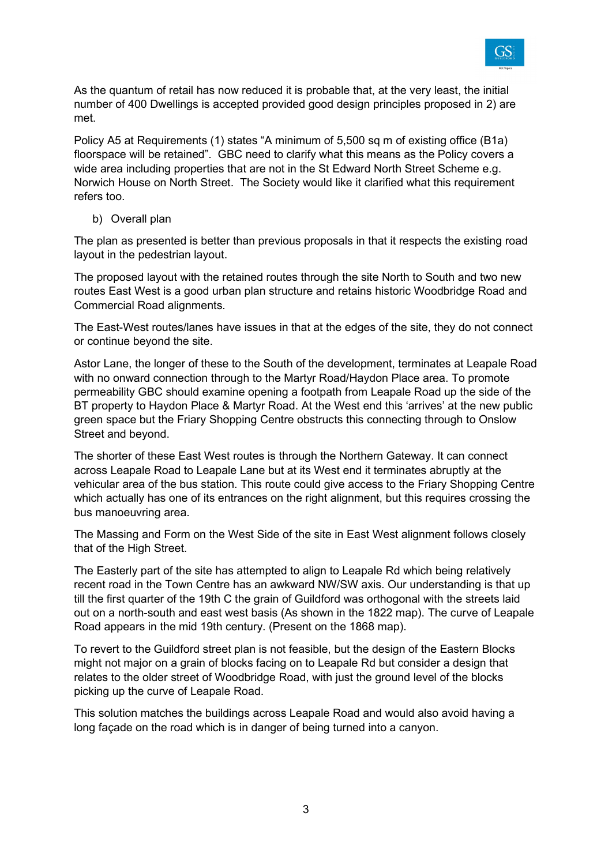

As the quantum of retail has now reduced it is probable that, at the very least, the initial number of 400 Dwellings is accepted provided good design principles proposed in 2) are met.

Policy A5 at Requirements (1) states "A minimum of 5,500 sq m of existing office (B1a) floorspace will be retained". GBC need to clarify what this means as the Policy covers a wide area including properties that are not in the St Edward North Street Scheme e.g. Norwich House on North Street. The Society would like it clarified what this requirement refers too.

b) Overall plan

The plan as presented is better than previous proposals in that it respects the existing road layout in the pedestrian layout.

The proposed layout with the retained routes through the site North to South and two new routes East West is a good urban plan structure and retains historic Woodbridge Road and Commercial Road alignments.

The East-West routes/lanes have issues in that at the edges of the site, they do not connect or continue beyond the site.

Astor Lane, the longer of these to the South of the development, terminates at Leapale Road with no onward connection through to the Martyr Road/Haydon Place area. To promote permeability GBC should examine opening a footpath from Leapale Road up the side of the BT property to Haydon Place & Martyr Road. At the West end this 'arrives' at the new public green space but the Friary Shopping Centre obstructs this connecting through to Onslow Street and beyond.

The shorter of these East West routes is through the Northern Gateway. It can connect across Leapale Road to Leapale Lane but at its West end it terminates abruptly at the vehicular area of the bus station. This route could give access to the Friary Shopping Centre which actually has one of its entrances on the right alignment, but this requires crossing the bus manoeuvring area.

The Massing and Form on the West Side of the site in East West alignment follows closely that of the High Street.

The Easterly part of the site has attempted to align to Leapale Rd which being relatively recent road in the Town Centre has an awkward NW/SW axis. Our understanding is that up till the first quarter of the 19th C the grain of Guildford was orthogonal with the streets laid out on a north-south and east west basis (As shown in the 1822 map). The curve of Leapale Road appears in the mid 19th century. (Present on the 1868 map).

To revert to the Guildford street plan is not feasible, but the design of the Eastern Blocks might not major on a grain of blocks facing on to Leapale Rd but consider a design that relates to the older street of Woodbridge Road, with just the ground level of the blocks picking up the curve of Leapale Road.

This solution matches the buildings across Leapale Road and would also avoid having a long façade on the road which is in danger of being turned into a canyon.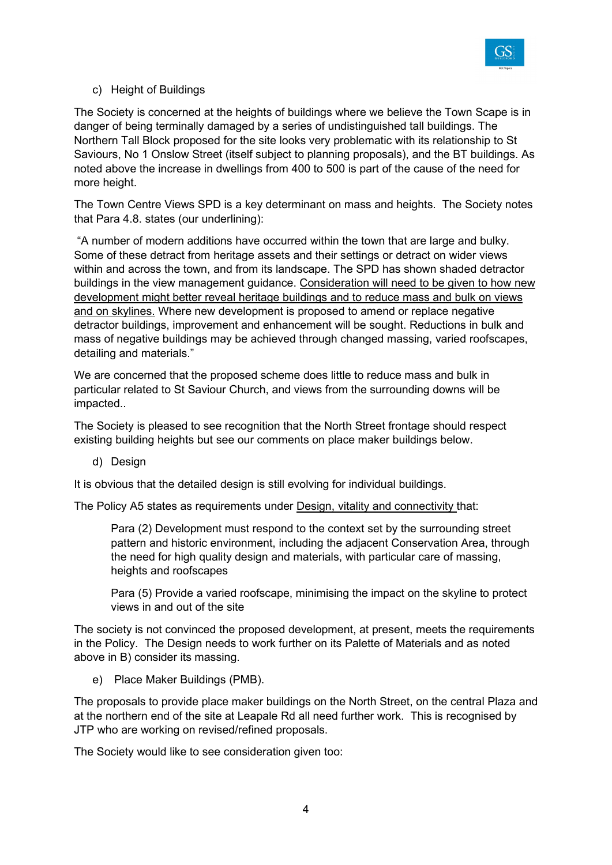

### c) Height of Buildings

The Society is concerned at the heights of buildings where we believe the Town Scape is in danger of being terminally damaged by a series of undistinguished tall buildings. The Northern Tall Block proposed for the site looks very problematic with its relationship to St Saviours, No 1 Onslow Street (itself subject to planning proposals), and the BT buildings. As noted above the increase in dwellings from 400 to 500 is part of the cause of the need for more height.

The Town Centre Views SPD is a key determinant on mass and heights. The Society notes that Para 4.8. states (our underlining):

 "A number of modern additions have occurred within the town that are large and bulky. Some of these detract from heritage assets and their settings or detract on wider views within and across the town, and from its landscape. The SPD has shown shaded detractor buildings in the view management guidance. Consideration will need to be given to how new development might better reveal heritage buildings and to reduce mass and bulk on views and on skylines. Where new development is proposed to amend or replace negative detractor buildings, improvement and enhancement will be sought. Reductions in bulk and mass of negative buildings may be achieved through changed massing, varied roofscapes, detailing and materials."

We are concerned that the proposed scheme does little to reduce mass and bulk in particular related to St Saviour Church, and views from the surrounding downs will be impacted..

The Society is pleased to see recognition that the North Street frontage should respect existing building heights but see our comments on place maker buildings below.

d) Design

It is obvious that the detailed design is still evolving for individual buildings.

The Policy A5 states as requirements under Design, vitality and connectivity that:

Para (2) Development must respond to the context set by the surrounding street pattern and historic environment, including the adjacent Conservation Area, through the need for high quality design and materials, with particular care of massing, heights and roofscapes

Para (5) Provide a varied roofscape, minimising the impact on the skyline to protect views in and out of the site

The society is not convinced the proposed development, at present, meets the requirements in the Policy. The Design needs to work further on its Palette of Materials and as noted above in B) consider its massing.

e) Place Maker Buildings (PMB).

The proposals to provide place maker buildings on the North Street, on the central Plaza and at the northern end of the site at Leapale Rd all need further work. This is recognised by JTP who are working on revised/refined proposals.

The Society would like to see consideration given too: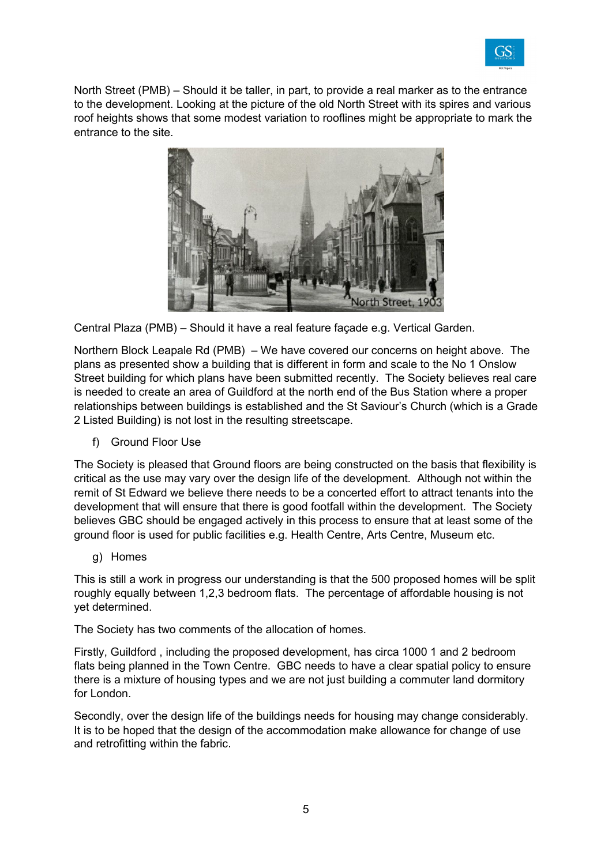

North Street (PMB) – Should it be taller, in part, to provide a real marker as to the entrance to the development. Looking at the picture of the old North Street with its spires and various roof heights shows that some modest variation to rooflines might be appropriate to mark the entrance to the site.



Central Plaza (PMB) – Should it have a real feature façade e.g. Vertical Garden.

Northern Block Leapale Rd (PMB) – We have covered our concerns on height above. The plans as presented show a building that is different in form and scale to the No 1 Onslow Street building for which plans have been submitted recently. The Society believes real care is needed to create an area of Guildford at the north end of the Bus Station where a proper relationships between buildings is established and the St Saviour's Church (which is a Grade 2 Listed Building) is not lost in the resulting streetscape.

f) Ground Floor Use

The Society is pleased that Ground floors are being constructed on the basis that flexibility is critical as the use may vary over the design life of the development. Although not within the remit of St Edward we believe there needs to be a concerted effort to attract tenants into the development that will ensure that there is good footfall within the development. The Society believes GBC should be engaged actively in this process to ensure that at least some of the ground floor is used for public facilities e.g. Health Centre, Arts Centre, Museum etc.

g) Homes

This is still a work in progress our understanding is that the 500 proposed homes will be split roughly equally between 1,2,3 bedroom flats. The percentage of affordable housing is not yet determined.

The Society has two comments of the allocation of homes.

Firstly, Guildford , including the proposed development, has circa 1000 1 and 2 bedroom flats being planned in the Town Centre. GBC needs to have a clear spatial policy to ensure there is a mixture of housing types and we are not just building a commuter land dormitory for London.

Secondly, over the design life of the buildings needs for housing may change considerably. It is to be hoped that the design of the accommodation make allowance for change of use and retrofitting within the fabric.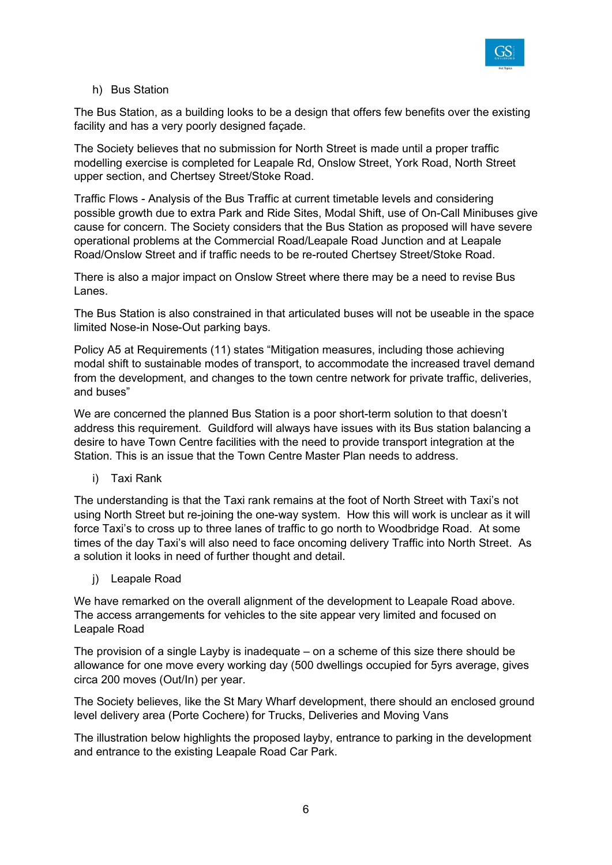

### h) Bus Station

The Bus Station, as a building looks to be a design that offers few benefits over the existing facility and has a very poorly designed façade.

The Society believes that no submission for North Street is made until a proper traffic modelling exercise is completed for Leapale Rd, Onslow Street, York Road, North Street upper section, and Chertsey Street/Stoke Road.

Traffic Flows - Analysis of the Bus Traffic at current timetable levels and considering possible growth due to extra Park and Ride Sites, Modal Shift, use of On-Call Minibuses give cause for concern. The Society considers that the Bus Station as proposed will have severe operational problems at the Commercial Road/Leapale Road Junction and at Leapale Road/Onslow Street and if traffic needs to be re-routed Chertsey Street/Stoke Road.

There is also a major impact on Onslow Street where there may be a need to revise Bus Lanes.

The Bus Station is also constrained in that articulated buses will not be useable in the space limited Nose-in Nose-Out parking bays.

Policy A5 at Requirements (11) states "Mitigation measures, including those achieving modal shift to sustainable modes of transport, to accommodate the increased travel demand from the development, and changes to the town centre network for private traffic, deliveries, and buses"

We are concerned the planned Bus Station is a poor short-term solution to that doesn't address this requirement. Guildford will always have issues with its Bus station balancing a desire to have Town Centre facilities with the need to provide transport integration at the Station. This is an issue that the Town Centre Master Plan needs to address.

i) Taxi Rank

The understanding is that the Taxi rank remains at the foot of North Street with Taxi's not using North Street but re-joining the one-way system. How this will work is unclear as it will force Taxi's to cross up to three lanes of traffic to go north to Woodbridge Road. At some times of the day Taxi's will also need to face oncoming delivery Traffic into North Street. As a solution it looks in need of further thought and detail.

j) Leapale Road

We have remarked on the overall alignment of the development to Leapale Road above. The access arrangements for vehicles to the site appear very limited and focused on Leapale Road

The provision of a single Layby is inadequate – on a scheme of this size there should be allowance for one move every working day (500 dwellings occupied for 5yrs average, gives circa 200 moves (Out/In) per year.

The Society believes, like the St Mary Wharf development, there should an enclosed ground level delivery area (Porte Cochere) for Trucks, Deliveries and Moving Vans

The illustration below highlights the proposed layby, entrance to parking in the development and entrance to the existing Leapale Road Car Park.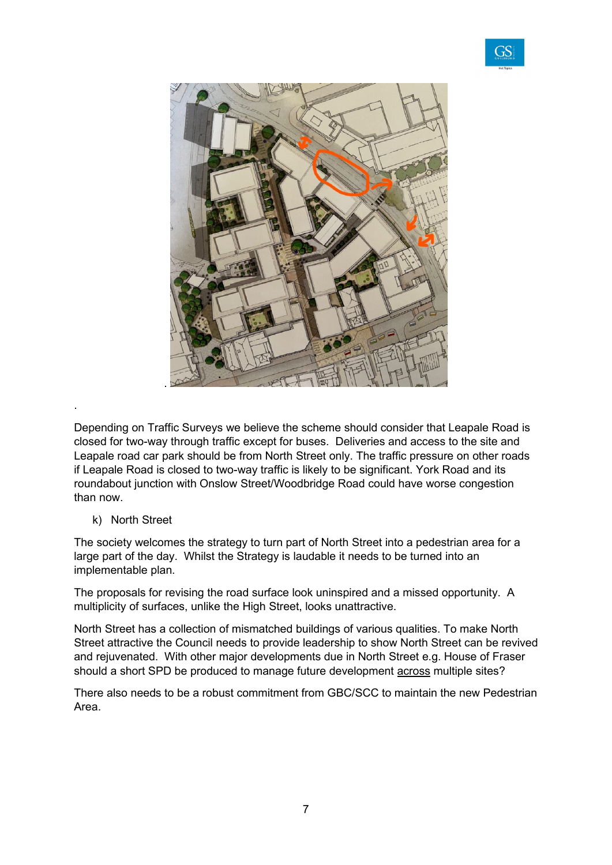



Depending on Traffic Surveys we believe the scheme should consider that Leapale Road is closed for two-way through traffic except for buses. Deliveries and access to the site and Leapale road car park should be from North Street only. The traffic pressure on other roads if Leapale Road is closed to two-way traffic is likely to be significant. York Road and its roundabout junction with Onslow Street/Woodbridge Road could have worse congestion than now.

k) North Street

.

The society welcomes the strategy to turn part of North Street into a pedestrian area for a large part of the day. Whilst the Strategy is laudable it needs to be turned into an implementable plan.

The proposals for revising the road surface look uninspired and a missed opportunity. A multiplicity of surfaces, unlike the High Street, looks unattractive.

North Street has a collection of mismatched buildings of various qualities. To make North Street attractive the Council needs to provide leadership to show North Street can be revived and rejuvenated. With other major developments due in North Street e.g. House of Fraser should a short SPD be produced to manage future development across multiple sites?

There also needs to be a robust commitment from GBC/SCC to maintain the new Pedestrian Area.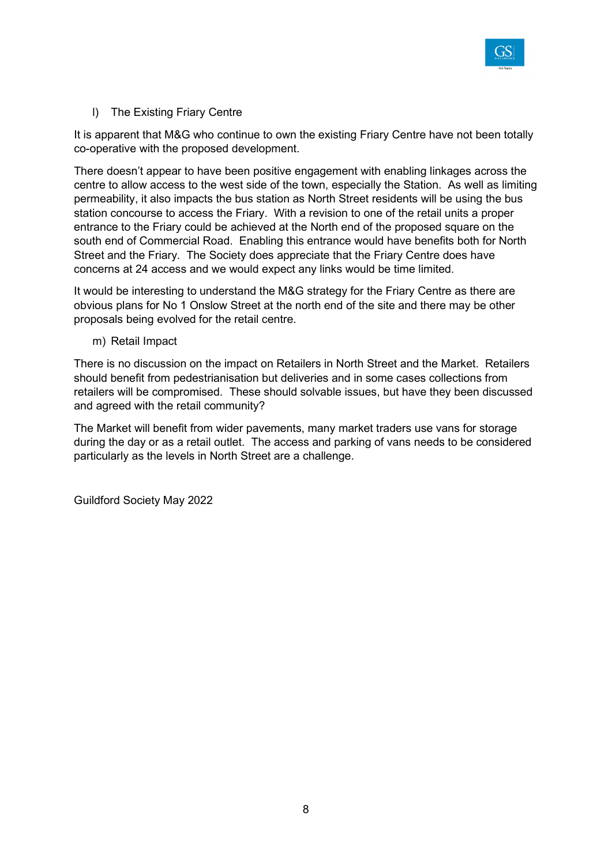

l) The Existing Friary Centre

It is apparent that M&G who continue to own the existing Friary Centre have not been totally co-operative with the proposed development.

There doesn't appear to have been positive engagement with enabling linkages across the centre to allow access to the west side of the town, especially the Station. As well as limiting permeability, it also impacts the bus station as North Street residents will be using the bus station concourse to access the Friary. With a revision to one of the retail units a proper entrance to the Friary could be achieved at the North end of the proposed square on the south end of Commercial Road. Enabling this entrance would have benefits both for North Street and the Friary. The Society does appreciate that the Friary Centre does have concerns at 24 access and we would expect any links would be time limited.

It would be interesting to understand the M&G strategy for the Friary Centre as there are obvious plans for No 1 Onslow Street at the north end of the site and there may be other proposals being evolved for the retail centre.

m) Retail Impact

There is no discussion on the impact on Retailers in North Street and the Market. Retailers should benefit from pedestrianisation but deliveries and in some cases collections from retailers will be compromised. These should solvable issues, but have they been discussed and agreed with the retail community?

The Market will benefit from wider pavements, many market traders use vans for storage during the day or as a retail outlet. The access and parking of vans needs to be considered particularly as the levels in North Street are a challenge.

Guildford Society May 2022